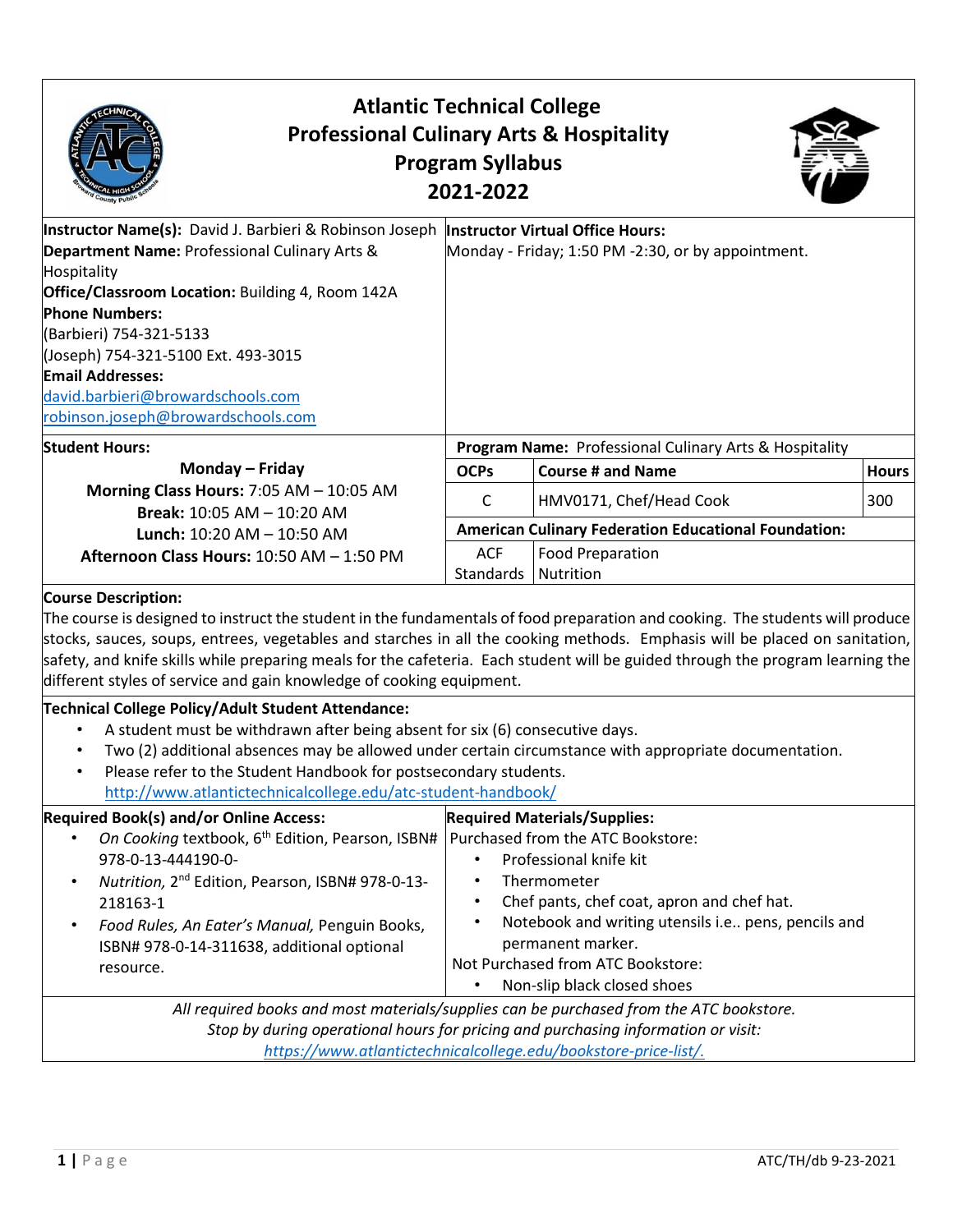| <b>Atlantic Technical College</b><br><b>Professional Culinary Arts &amp; Hospitality</b><br><b>Program Syllabus</b><br>2021-2022                                                                                                                                                                                                                                                                                                                                                                                                                                               |                                     |                                                                                                                                                                                                                                                                                                                 |              |  |
|--------------------------------------------------------------------------------------------------------------------------------------------------------------------------------------------------------------------------------------------------------------------------------------------------------------------------------------------------------------------------------------------------------------------------------------------------------------------------------------------------------------------------------------------------------------------------------|-------------------------------------|-----------------------------------------------------------------------------------------------------------------------------------------------------------------------------------------------------------------------------------------------------------------------------------------------------------------|--------------|--|
| Instructor Name(s): David J. Barbieri & Robinson Joseph  Instructor Virtual Office Hours:<br>Department Name: Professional Culinary Arts &<br>Hospitality<br>Office/Classroom Location: Building 4, Room 142A<br><b>Phone Numbers:</b><br>(Barbieri) 754-321-5133<br>(Joseph) 754-321-5100 Ext. 493-3015<br><b>Email Addresses:</b><br>david.barbieri@browardschools.com<br>robinson.joseph@browardschools.com                                                                                                                                                                 |                                     | Monday - Friday; 1:50 PM -2:30, or by appointment.                                                                                                                                                                                                                                                              |              |  |
| <b>Student Hours:</b>                                                                                                                                                                                                                                                                                                                                                                                                                                                                                                                                                          |                                     | Program Name: Professional Culinary Arts & Hospitality                                                                                                                                                                                                                                                          |              |  |
| Monday - Friday                                                                                                                                                                                                                                                                                                                                                                                                                                                                                                                                                                | <b>OCPs</b>                         | <b>Course # and Name</b>                                                                                                                                                                                                                                                                                        | <b>Hours</b> |  |
| Morning Class Hours: 7:05 AM - 10:05 AM                                                                                                                                                                                                                                                                                                                                                                                                                                                                                                                                        | C                                   | HMV0171, Chef/Head Cook                                                                                                                                                                                                                                                                                         | 300          |  |
| Break: 10:05 AM - 10:20 AM<br>Lunch: 10:20 AM - 10:50 AM                                                                                                                                                                                                                                                                                                                                                                                                                                                                                                                       |                                     | <b>American Culinary Federation Educational Foundation:</b>                                                                                                                                                                                                                                                     |              |  |
| Afternoon Class Hours: 10:50 AM - 1:50 PM                                                                                                                                                                                                                                                                                                                                                                                                                                                                                                                                      | <b>ACF</b><br>Standards   Nutrition | <b>Food Preparation</b>                                                                                                                                                                                                                                                                                         |              |  |
| <b>Course Description:</b><br>The course is designed to instruct the student in the fundamentals of food preparation and cooking. The students will produce<br>stocks, sauces, soups, entrees, vegetables and starches in all the cooking methods. Emphasis will be placed on sanitation,<br>safety, and knife skills while preparing meals for the cafeteria. Each student will be guided through the program learning the<br>different styles of service and gain knowledge of cooking equipment.                                                                            |                                     |                                                                                                                                                                                                                                                                                                                 |              |  |
| Technical College Policy/Adult Student Attendance:<br>A student must be withdrawn after being absent for six (6) consecutive days.<br>$\bullet$<br>Two (2) additional absences may be allowed under certain circumstance with appropriate documentation.<br>Please refer to the Student Handbook for postsecondary students.<br>$\bullet$<br>http://www.atlantictechnicalcollege.edu/atc-student-handbook/                                                                                                                                                                     |                                     |                                                                                                                                                                                                                                                                                                                 |              |  |
| <b>Required Book(s) and/or Online Access:</b><br>On Cooking textbook, 6 <sup>th</sup> Edition, Pearson, ISBN#<br>978-0-13-444190-0-<br>Nutrition, 2 <sup>nd</sup> Edition, Pearson, ISBN# 978-0-13-<br>218163-1<br>Food Rules, An Eater's Manual, Penguin Books,<br>ISBN# 978-0-14-311638, additional optional<br>resource.<br>All required books and most materials/supplies can be purchased from the ATC bookstore.<br>Stop by during operational hours for pricing and purchasing information or visit:<br>https://www.atlantictechnicalcollege.edu/bookstore-price-list/. | $\bullet$                           | <b>Required Materials/Supplies:</b><br>Purchased from the ATC Bookstore:<br>Professional knife kit<br>Thermometer<br>Chef pants, chef coat, apron and chef hat.<br>Notebook and writing utensils i.e pens, pencils and<br>permanent marker.<br>Not Purchased from ATC Bookstore:<br>Non-slip black closed shoes |              |  |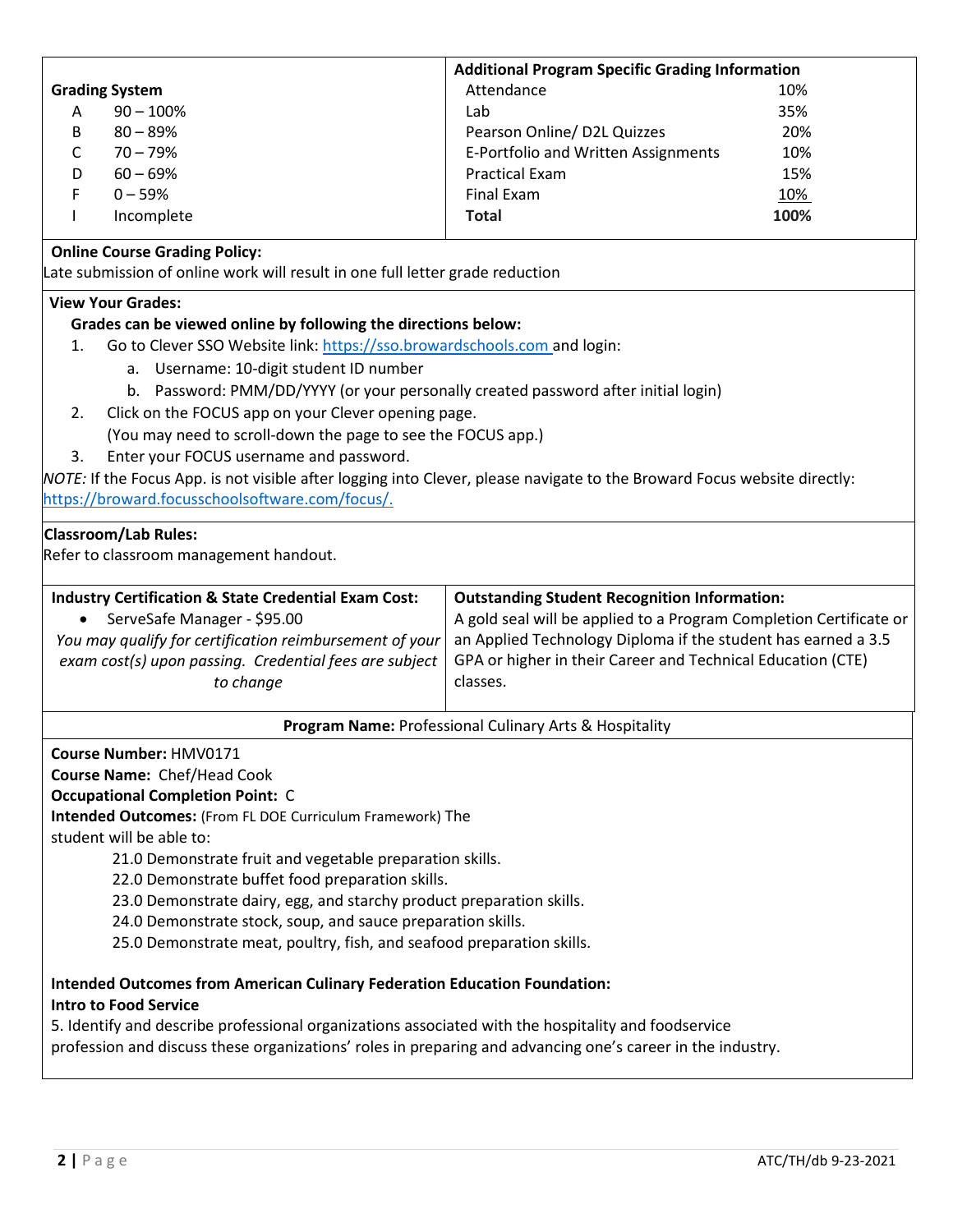|                                                                                                                                                                                                                   | <b>Additional Program Specific Grading Information</b>                                                                                   |            |  |  |  |
|-------------------------------------------------------------------------------------------------------------------------------------------------------------------------------------------------------------------|------------------------------------------------------------------------------------------------------------------------------------------|------------|--|--|--|
| <b>Grading System</b>                                                                                                                                                                                             | Attendance                                                                                                                               | 10%        |  |  |  |
| $90 - 100\%$<br>A                                                                                                                                                                                                 | Lab                                                                                                                                      | 35%        |  |  |  |
| $80 - 89%$<br>B                                                                                                                                                                                                   | Pearson Online/ D2L Quizzes<br>20%                                                                                                       |            |  |  |  |
| $70 - 79%$<br>C                                                                                                                                                                                                   | E-Portfolio and Written Assignments                                                                                                      | 10%        |  |  |  |
| $60 - 69%$<br>D                                                                                                                                                                                                   | <b>Practical Exam</b><br>15%                                                                                                             |            |  |  |  |
| $0 - 59%$<br>F                                                                                                                                                                                                    | <b>Final Exam</b>                                                                                                                        | <u>10%</u> |  |  |  |
| Incomplete                                                                                                                                                                                                        | <b>Total</b>                                                                                                                             | 100%       |  |  |  |
| <b>Online Course Grading Policy:</b>                                                                                                                                                                              |                                                                                                                                          |            |  |  |  |
| Late submission of online work will result in one full letter grade reduction                                                                                                                                     |                                                                                                                                          |            |  |  |  |
| <b>View Your Grades:</b>                                                                                                                                                                                          |                                                                                                                                          |            |  |  |  |
| Grades can be viewed online by following the directions below:                                                                                                                                                    |                                                                                                                                          |            |  |  |  |
| Go to Clever SSO Website link: https://sso.browardschools.com and login:<br>1.                                                                                                                                    |                                                                                                                                          |            |  |  |  |
| a. Username: 10-digit student ID number                                                                                                                                                                           |                                                                                                                                          |            |  |  |  |
| b. Password: PMM/DD/YYYY (or your personally created password after initial login)                                                                                                                                |                                                                                                                                          |            |  |  |  |
| Click on the FOCUS app on your Clever opening page.<br>2.                                                                                                                                                         |                                                                                                                                          |            |  |  |  |
| (You may need to scroll-down the page to see the FOCUS app.)                                                                                                                                                      |                                                                                                                                          |            |  |  |  |
| Enter your FOCUS username and password.<br>3.                                                                                                                                                                     |                                                                                                                                          |            |  |  |  |
| NOTE: If the Focus App. is not visible after logging into Clever, please navigate to the Broward Focus website directly:                                                                                          |                                                                                                                                          |            |  |  |  |
| https://broward.focusschoolsoftware.com/focus/.                                                                                                                                                                   |                                                                                                                                          |            |  |  |  |
| <b>Industry Certification &amp; State Credential Exam Cost:</b><br>ServeSafe Manager - \$95.00<br>$\bullet$                                                                                                       | <b>Outstanding Student Recognition Information:</b><br>A gold seal will be applied to a Program Completion Certificate or                |            |  |  |  |
| You may qualify for certification reimbursement of your<br>exam cost(s) upon passing. Credential fees are subject<br>to change                                                                                    | an Applied Technology Diploma if the student has earned a 3.5<br>GPA or higher in their Career and Technical Education (CTE)<br>classes. |            |  |  |  |
|                                                                                                                                                                                                                   | Program Name: Professional Culinary Arts & Hospitality                                                                                   |            |  |  |  |
| Course Number: HMV0171                                                                                                                                                                                            |                                                                                                                                          |            |  |  |  |
| Course Name: Chef/Head Cook                                                                                                                                                                                       |                                                                                                                                          |            |  |  |  |
| <b>Occupational Completion Point: C</b>                                                                                                                                                                           |                                                                                                                                          |            |  |  |  |
| Intended Outcomes: (From FL DOE Curriculum Framework) The                                                                                                                                                         |                                                                                                                                          |            |  |  |  |
| student will be able to:                                                                                                                                                                                          |                                                                                                                                          |            |  |  |  |
| 21.0 Demonstrate fruit and vegetable preparation skills.                                                                                                                                                          |                                                                                                                                          |            |  |  |  |
| 22.0 Demonstrate buffet food preparation skills.                                                                                                                                                                  |                                                                                                                                          |            |  |  |  |
| 23.0 Demonstrate dairy, egg, and starchy product preparation skills.                                                                                                                                              |                                                                                                                                          |            |  |  |  |
| 24.0 Demonstrate stock, soup, and sauce preparation skills.                                                                                                                                                       |                                                                                                                                          |            |  |  |  |
| 25.0 Demonstrate meat, poultry, fish, and seafood preparation skills.                                                                                                                                             |                                                                                                                                          |            |  |  |  |
| <b>Intended Outcomes from American Culinary Federation Education Foundation:</b><br><b>Intro to Food Service</b>                                                                                                  |                                                                                                                                          |            |  |  |  |
| 5. Identify and describe professional organizations associated with the hospitality and foodservice<br>profession and discuss these organizations' roles in preparing and advancing one's career in the industry. |                                                                                                                                          |            |  |  |  |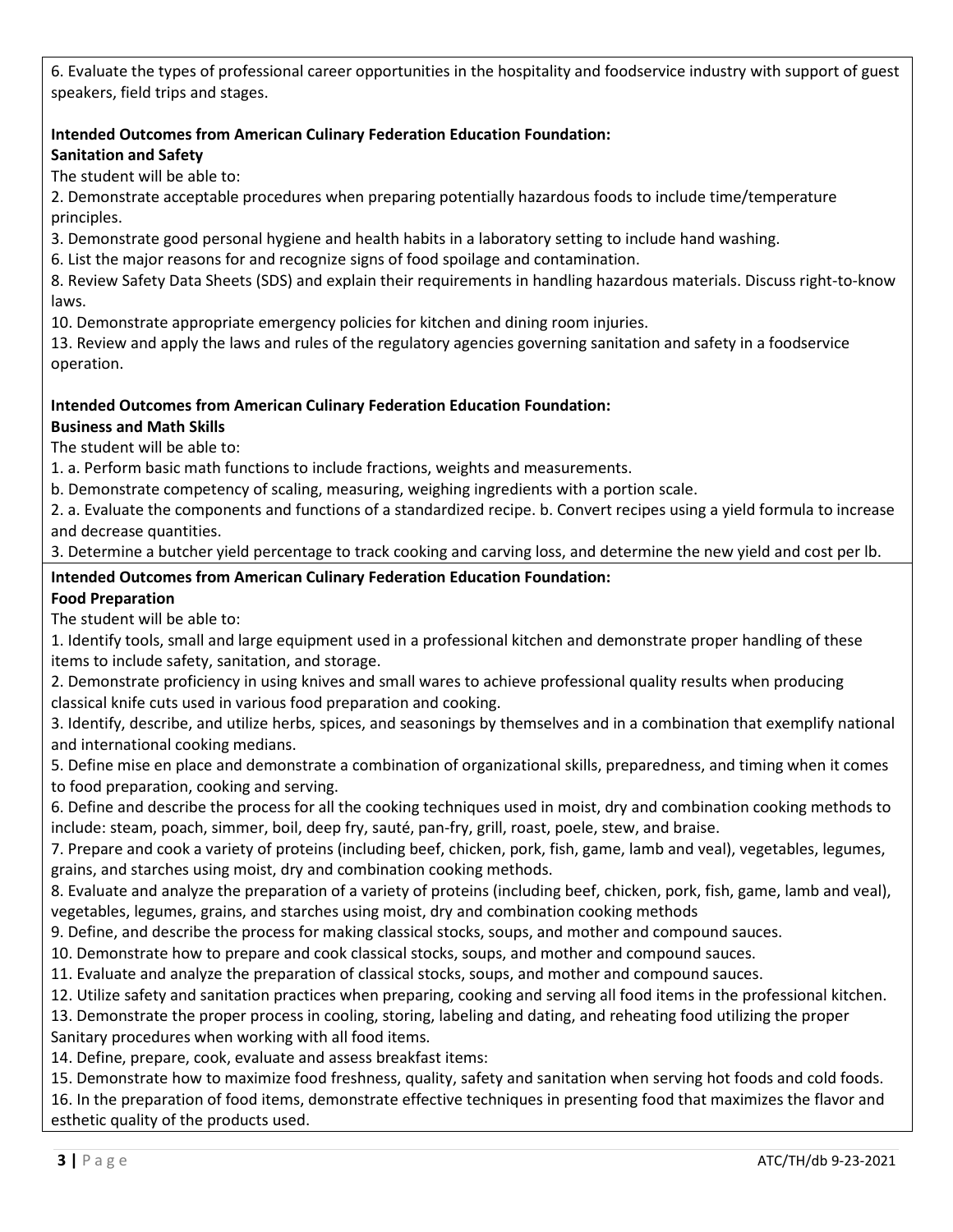6. Evaluate the types of professional career opportunities in the hospitality and foodservice industry with support of guest speakers, field trips and stages.

#### **Intended Outcomes from American Culinary Federation Education Foundation: Sanitation and Safety**

The student will be able to:

2. Demonstrate acceptable procedures when preparing potentially hazardous foods to include time/temperature principles.

3. Demonstrate good personal hygiene and health habits in a laboratory setting to include hand washing.

6. List the major reasons for and recognize signs of food spoilage and contamination.

8. Review Safety Data Sheets (SDS) and explain their requirements in handling hazardous materials. Discuss right-to-know laws.

10. Demonstrate appropriate emergency policies for kitchen and dining room injuries.

13. Review and apply the laws and rules of the regulatory agencies governing sanitation and safety in a foodservice operation.

#### **Intended Outcomes from American Culinary Federation Education Foundation: Business and Math Skills**

The student will be able to:

1. a. Perform basic math functions to include fractions, weights and measurements.

b. Demonstrate competency of scaling, measuring, weighing ingredients with a portion scale.

2. a. Evaluate the components and functions of a standardized recipe. b. Convert recipes using a yield formula to increase and decrease quantities.

3. Determine a butcher yield percentage to track cooking and carving loss, and determine the new yield and cost per lb.

## **Intended Outcomes from American Culinary Federation Education Foundation: Food Preparation**

The student will be able to:

1. Identify tools, small and large equipment used in a professional kitchen and demonstrate proper handling of these items to include safety, sanitation, and storage.

2. Demonstrate proficiency in using knives and small wares to achieve professional quality results when producing classical knife cuts used in various food preparation and cooking.

3. Identify, describe, and utilize herbs, spices, and seasonings by themselves and in a combination that exemplify national and international cooking medians.

5. Define mise en place and demonstrate a combination of organizational skills, preparedness, and timing when it comes to food preparation, cooking and serving.

6. Define and describe the process for all the cooking techniques used in moist, dry and combination cooking methods to include: steam, poach, simmer, boil, deep fry, sauté, pan-fry, grill, roast, poele, stew, and braise.

7. Prepare and cook a variety of proteins (including beef, chicken, pork, fish, game, lamb and veal), vegetables, legumes, grains, and starches using moist, dry and combination cooking methods.

8. Evaluate and analyze the preparation of a variety of proteins (including beef, chicken, pork, fish, game, lamb and veal), vegetables, legumes, grains, and starches using moist, dry and combination cooking methods

9. Define, and describe the process for making classical stocks, soups, and mother and compound sauces.

10. Demonstrate how to prepare and cook classical stocks, soups, and mother and compound sauces.

11. Evaluate and analyze the preparation of classical stocks, soups, and mother and compound sauces.

12. Utilize safety and sanitation practices when preparing, cooking and serving all food items in the professional kitchen.

13. Demonstrate the proper process in cooling, storing, labeling and dating, and reheating food utilizing the proper

Sanitary procedures when working with all food items.

14. Define, prepare, cook, evaluate and assess breakfast items:

15. Demonstrate how to maximize food freshness, quality, safety and sanitation when serving hot foods and cold foods.

16. In the preparation of food items, demonstrate effective techniques in presenting food that maximizes the flavor and esthetic quality of the products used.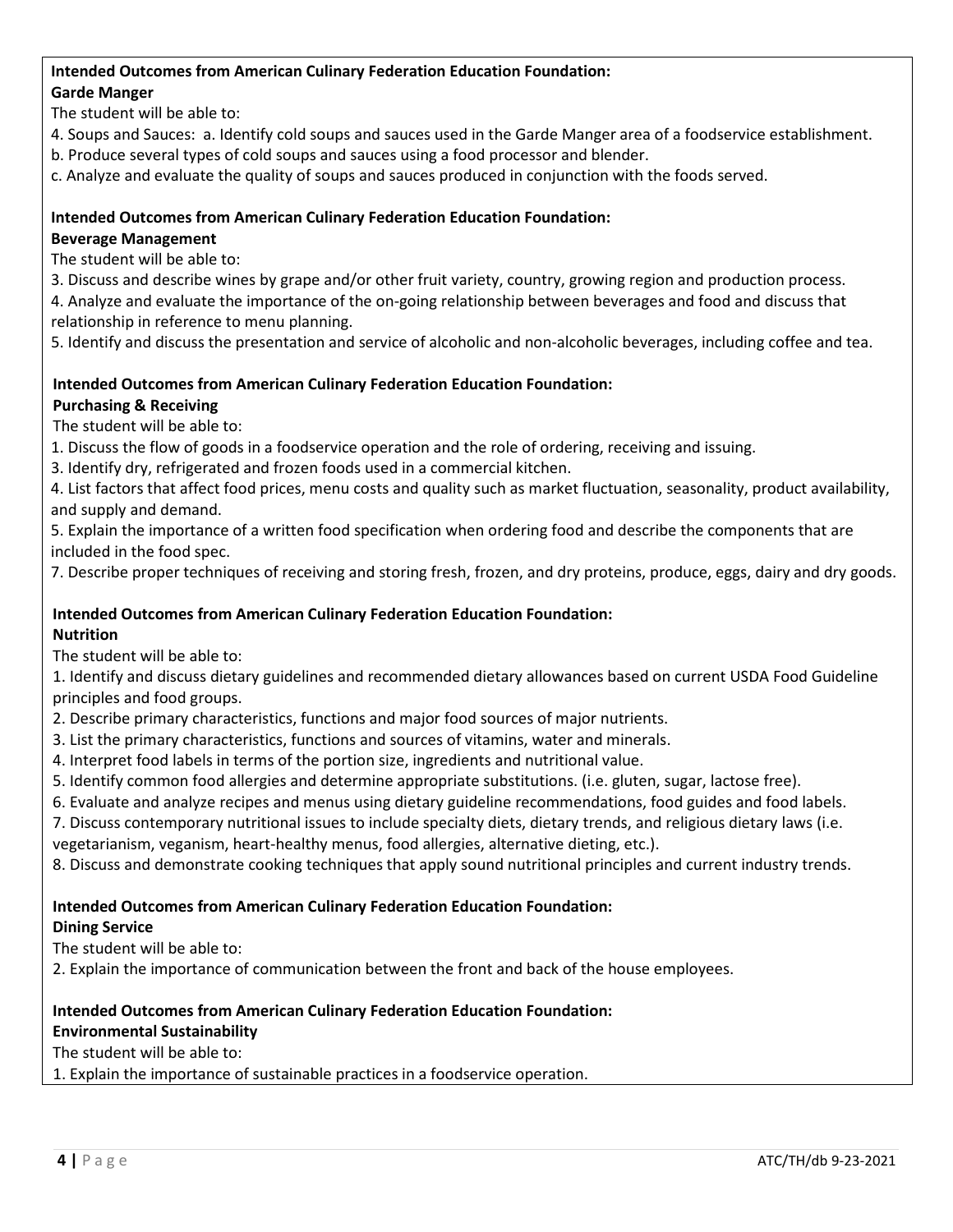#### **Intended Outcomes from American Culinary Federation Education Foundation:**

## **Garde Manger**

The student will be able to:

- 4. Soups and Sauces: a. Identify cold soups and sauces used in the Garde Manger area of a foodservice establishment.
- b. Produce several types of cold soups and sauces using a food processor and blender.
- c. Analyze and evaluate the quality of soups and sauces produced in conjunction with the foods served.

## **Intended Outcomes from American Culinary Federation Education Foundation:**

## **Beverage Management**

The student will be able to:

3. Discuss and describe wines by grape and/or other fruit variety, country, growing region and production process.

4. Analyze and evaluate the importance of the on-going relationship between beverages and food and discuss that relationship in reference to menu planning.

5. Identify and discuss the presentation and service of alcoholic and non-alcoholic beverages, including coffee and tea.

# **Intended Outcomes from American Culinary Federation Education Foundation:**

## **Purchasing & Receiving**

The student will be able to:

- 1. Discuss the flow of goods in a foodservice operation and the role of ordering, receiving and issuing.
- 3. Identify dry, refrigerated and frozen foods used in a commercial kitchen.
- 4. List factors that affect food prices, menu costs and quality such as market fluctuation, seasonality, product availability, and supply and demand.
- 5. Explain the importance of a written food specification when ordering food and describe the components that are included in the food spec.

7. Describe proper techniques of receiving and storing fresh, frozen, and dry proteins, produce, eggs, dairy and dry goods.

#### **Intended Outcomes from American Culinary Federation Education Foundation: Nutrition**

The student will be able to:

1. Identify and discuss dietary guidelines and recommended dietary allowances based on current USDA Food Guideline principles and food groups.

- 2. Describe primary characteristics, functions and major food sources of major nutrients.
- 3. List the primary characteristics, functions and sources of vitamins, water and minerals.
- 4. Interpret food labels in terms of the portion size, ingredients and nutritional value.
- 5. Identify common food allergies and determine appropriate substitutions. (i.e. gluten, sugar, lactose free).
- 6. Evaluate and analyze recipes and menus using dietary guideline recommendations, food guides and food labels.

7. Discuss contemporary nutritional issues to include specialty diets, dietary trends, and religious dietary laws (i.e.

vegetarianism, veganism, heart-healthy menus, food allergies, alternative dieting, etc.).

8. Discuss and demonstrate cooking techniques that apply sound nutritional principles and current industry trends.

## **Intended Outcomes from American Culinary Federation Education Foundation:**

#### **Dining Service**

The student will be able to:

2. Explain the importance of communication between the front and back of the house employees.

# **Intended Outcomes from American Culinary Federation Education Foundation:**

# **Environmental Sustainability**

The student will be able to:

1. Explain the importance of sustainable practices in a foodservice operation.